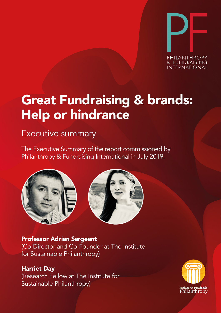

## Great Fundraising & brands: Help or hindrance Help Or Hindrance Help Or Hindrance

### Executive summary

The Executive Summary of the report commissioned by Philanthropy & Fundraising International in July 2019. by by



**Professor Adrian Sargeant** (Co-Director and Co-Founder at The Institute for Sustainable Philanthropy)

**Harriet Day** (Research Fellow, The Philanthropy Centre) (Research Fellow at The Institute for Sustainable Philanthropy)

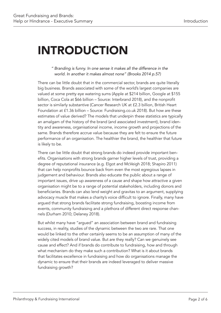# INTRODUCTION

#### *" Branding is funny. In one sense it makes all the difference in the world. In another it makes almost none" (Brooks 2014 p.57)*

There can be little doubt that in the commercial sector, brands are quite literally big business. Brands associated with some of the world's largest companies are valued at some pretty eye watering sums (Apple at \$214 billion, Google at \$155 billion, Coca Cola at \$66 billion – Source: Interbrand 2018), and the nonprofit sector is similarly substantive (Cancer Research UK at £2.3 billion, British Heart Foundation at £1.36 billion – Source: Fundraising.co.uk 2018). But how are these estimates of value derived? The models that underpin these statistics are typically an amalgam of the history of the brand (and associated investment), brand identity and awareness, organisational income, income growth and projections of the same. Brands therefore accrue value because they are felt to ensure the future performance of an organisation. The healthier the brand, the healthier that future is likely to be.

There can be little doubt that strong brands do indeed provide important benefits. Organisations with strong brands garner higher levels of trust, providing a degree of reputational insurance (e.g. Elgot and McVeigh 2018; Shapiro 2011) that can help nonprofits bounce back from even the most egregious lapses in judgement and behaviour. Brands also educate the public about a range of important issues, drive up awareness of a cause and shape how attractive a given organisation might be to a range of potential stakeholders, including donors and beneficiaries. Brands can also lend weight and gravitas to an argument, supplying advocacy muscle that makes a charity's voice difficult to ignore. Finally, many have argued that strong brands facilitate strong fundraising, boosting income from events, community fundraising and a plethora of different direct response channels (Durham 2010; Delaney 2018).

But whilst many have "argued" an association between brand and fundraising success, in reality, studies of the dynamic between the two are rare. That one would be linked to the other certainly seems to be an assumption of many of the widely cited models of brand value. But are they really? Can we genuinely see cause and effect? And if brands do contribute to fundraising, how and through what mechanism do they make such a contribution? What is it about brands that facilitates excellence in fundraising and how do organisations manage the dynamic to ensure that their brands are indeed leveraged to deliver massive fundraising growth?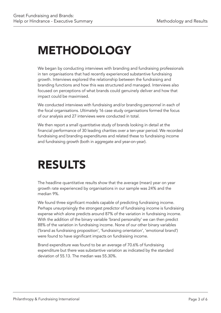# METHODOLOGY

We began by conducting interviews with branding and fundraising professionals in ten organisations that had recently experienced substantive fundraising growth. Interviews explored the relationship between the fundraising and branding functions and how this was structured and managed. Interviews also focused on perceptions of what brands could genuinely deliver and how that impact could be maximised.

We conducted interviews with fundraising and/or branding personnel in each of the focal organisations. Ultimately 16 case study organisations formed the focus of our analysis and 27 interviews were conducted in total.

We then report a small quantitative study of brands looking in detail at the financial performance of 30 leading charities over a ten-year period. We recorded fundraising and branding expenditures and related these to fundraising income and fundraising growth (both in aggregate and year-on-year).

# RESULTS

The headline quantitative results show that the average (mean) year on year growth rate experienced by organisations in our sample was 24% and the median 9%.

We found three significant models capable of predicting fundraising income. Perhaps unsurprisingly the strongest predictor of fundraising income is fundraising expense which alone predicts around 87% of the variation in fundraising income. With the addition of the binary variable 'brand personality' we can then predict 88% of the variation in fundraising income. None of our other binary variables ('brand as fundraising proposition', 'fundraising orientation', 'emotional brand') were found to have significant impacts on fundraising income.

Brand expenditure was found to be an average of 70.6% of fundraising expenditure but there was substantive variation as indicated by the standard deviation of 55.13. The median was 55.30%.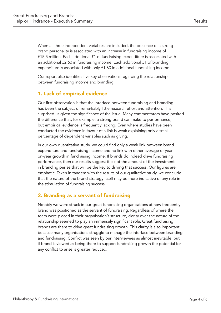When all three independent variables are included, the presence of a strong brand personality is associated with an increase in fundraising income of £15.5 million. Each additional £1 of fundraising expenditure is associated with an additional £2.60 in fundraising income. Each additional £1 of branding expenditure is associated with only £1.60 in additional fundraising income.

Our report also identifies five key observations regarding the relationship between fundraising income and branding:

### 1. Lack of empirical evidence

Our first observation is that the interface between fundraising and branding has been the subject of remarkably little research effort and attention. This surprised us given the significance of the issue. Many commentators have posited the difference that, for example, a strong brand can make to performance, but empirical evidence is frequently lacking. Even where studies have been conducted the evidence in favour of a link is weak explaining only a small percentage of dependent variables such as giving.

In our own quantitative study, we could find only a weak link between brand expenditure and fundraising income and no link with either average or yearon-year growth in fundraising income. If brands do indeed drive fundraising performance, then our results suggest it is not the amount of the investment in branding per se that will be the key to driving that success. Our figures are emphatic. Taken in tandem with the results of our qualitative study, we conclude that the nature of the brand strategy itself may be more indicative of any role in the stimulation of fundraising success.

### 2. Branding as a servant of fundraising

Notably we were struck in our great fundraising organisations at how frequently brand was positioned as the servant of fundraising. Regardless of where the team were placed in their organisation's structure, clarity over the nature of the relationship seemed to play an immensely significant role. Great fundraising brands are there to drive great fundraising growth. This clarity is also important because many organisations struggle to manage the interface between branding and fundraising. Conflict was seen by our interviewees as almost inevitable, but if brand is viewed as being there to support fundraising growth the potential for any conflict to arise is greater reduced.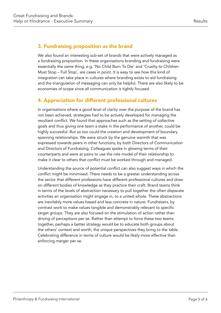### 3. Fundraising proposition as the brand

We also found an interesting sub-set of brands that were actively managed as a fundraising proposition. In these organisations branding and fundraising were essentially the same thing, e.g. 'No Child Born To Die' and 'Cruelty to Children Must Stop – Full Stop', are cases in point. It is easy to see how this kind of integration can take place in cultures where branding exists to aid fundraising and the triangulation of messaging can only be helpful. There are also likely to be economies of scope since all communication is tightly focused.

### 4. Appreciation for different professional cultures

In organisations where a good level of clarity over the purpose of the brand has not been achieved, strategies had to be actively developed for managing the resultant conflict. We found that approaches such as the setting of collective goals and thus giving one team a stake in the performance of another, could be highly successful. But so too could the creation and development of boundary spanning relationships. We were struck by the genuine warmth that was expressed towards peers in other functions, by both Directors of Communication and Directors of Fundraising. Colleagues spoke in glowing terms of their counterparts and were at pains to use the role model of their relationship to make it clear to others that conflict must be worked through and managed.

Understanding the source of potential conflict can also suggest ways in which the conflict might be minimised. There needs to be a greater understanding across the sector that different professions have different professional cultures and draw on different bodies of knowledge as they practice their craft. Brand teams think in terms of the levels of abstraction necessary to pull together the often disparate activities an organisation might engage in, to a united whole. These abstractions are inevitably more values based and less concrete in nature. Fundraisers, by contrast work to make values tangible and demonstrably relevant to specific target groups. They are also focused on the stimulation of action rather than driving of perceptions per se. Rather than attempt to force these two teams together, perhaps a better strategy would be to educate both groups about the others' context and worth; the unique perspectives they bring to the table. Celebrating difference in terms of culture would be likely more effective than enforcing merger per se.